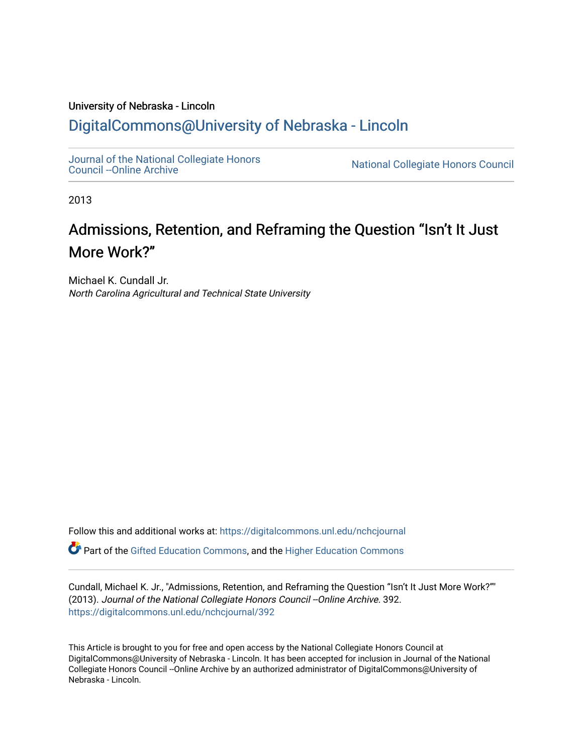### University of Nebraska - Lincoln [DigitalCommons@University of Nebraska - Lincoln](https://digitalcommons.unl.edu/)

[Journal of the National Collegiate Honors](https://digitalcommons.unl.edu/nchcjournal) 

National Collegiate Honors Council

2013

## Admissions, Retention, and Reframing the Question "Isn't It Just More Work?"

Michael K. Cundall Jr. North Carolina Agricultural and Technical State University

Follow this and additional works at: [https://digitalcommons.unl.edu/nchcjournal](https://digitalcommons.unl.edu/nchcjournal?utm_source=digitalcommons.unl.edu%2Fnchcjournal%2F392&utm_medium=PDF&utm_campaign=PDFCoverPages) 

Part of the [Gifted Education Commons,](http://network.bepress.com/hgg/discipline/1048?utm_source=digitalcommons.unl.edu%2Fnchcjournal%2F392&utm_medium=PDF&utm_campaign=PDFCoverPages) and the [Higher Education Commons](http://network.bepress.com/hgg/discipline/1245?utm_source=digitalcommons.unl.edu%2Fnchcjournal%2F392&utm_medium=PDF&utm_campaign=PDFCoverPages)

Cundall, Michael K. Jr., "Admissions, Retention, and Reframing the Question "Isn't It Just More Work?"" (2013). Journal of the National Collegiate Honors Council --Online Archive. 392. [https://digitalcommons.unl.edu/nchcjournal/392](https://digitalcommons.unl.edu/nchcjournal/392?utm_source=digitalcommons.unl.edu%2Fnchcjournal%2F392&utm_medium=PDF&utm_campaign=PDFCoverPages) 

This Article is brought to you for free and open access by the National Collegiate Honors Council at DigitalCommons@University of Nebraska - Lincoln. It has been accepted for inclusion in Journal of the National Collegiate Honors Council --Online Archive by an authorized administrator of DigitalCommons@University of Nebraska - Lincoln.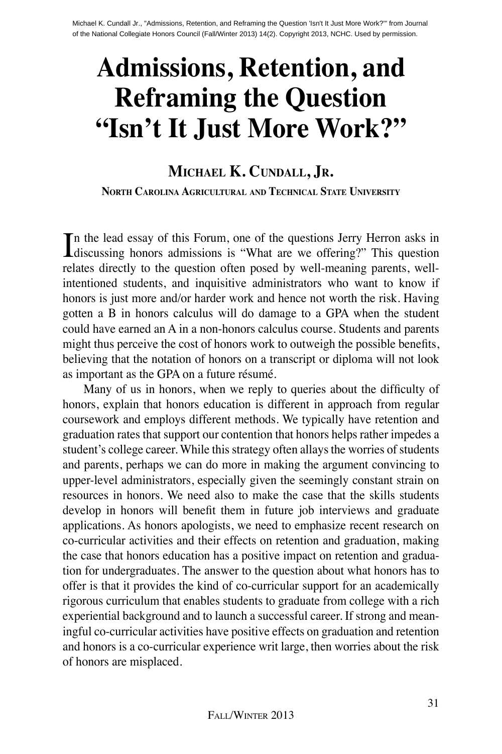# **Admissions, Retention, and Reframing the Question "Isn't It Just More Work?"**

#### **Michael K. Cundall, Jr. North Carolina Agricultural and Technical State University**

In the lead essay of this Forum, one of the questions Jerry Herron asks in discussing honors admissions is "What are we offering?" This question n the lead essay of this Forum, one of the questions Jerry Herron asks in relates directly to the question often posed by well-meaning parents, wellintentioned students, and inquisitive administrators who want to know if honors is just more and/or harder work and hence not worth the risk. Having gotten a B in honors calculus will do damage to a GPA when the student could have earned an A in a non-honors calculus course. Students and parents might thus perceive the cost of honors work to outweigh the possible benefits, believing that the notation of honors on a transcript or diploma will not look as important as the GPA on a future résumé.

Many of us in honors, when we reply to queries about the difficulty of honors, explain that honors education is different in approach from regular coursework and employs different methods. We typically have retention and graduation rates that support our contention that honors helps rather impedes a student's college career. While this strategy often allays the worries of students and parents, perhaps we can do more in making the argument convincing to upper-level administrators, especially given the seemingly constant strain on resources in honors. We need also to make the case that the skills students develop in honors will benefit them in future job interviews and graduate applications. As honors apologists, we need to emphasize recent research on co-curricular activities and their effects on retention and graduation, making the case that honors education has a positive impact on retention and graduation for undergraduates. The answer to the question about what honors has to offer is that it provides the kind of co-curricular support for an academically rigorous curriculum that enables students to graduate from college with a rich experiential background and to launch a successful career. If strong and meaningful co-curricular activities have positive effects on graduation and retention and honors is a co-curricular experience writ large, then worries about the risk of honors are misplaced.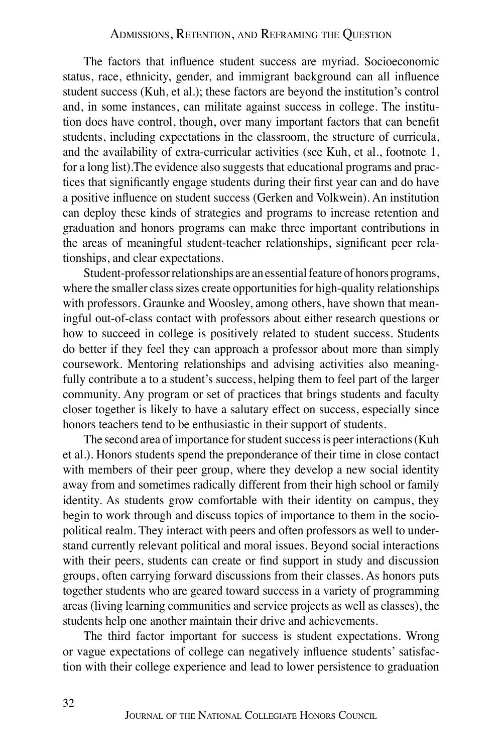The factors that influence student success are myriad. Socioeconomic status, race, ethnicity, gender, and immigrant background can all influence student success (Kuh, et al.); these factors are beyond the institution's control and, in some instances, can militate against success in college. The institution does have control, though, over many important factors that can benefit students, including expectations in the classroom, the structure of curricula, and the availability of extra-curricular activities (see Kuh, et al., footnote 1, for a long list).The evidence also suggests that educational programs and practices that significantly engage students during their first year can and do have a positive influence on student success (Gerken and Volkwein). An institution can deploy these kinds of strategies and programs to increase retention and graduation and honors programs can make three important contributions in the areas of meaningful student-teacher relationships, significant peer relationships, and clear expectations.

Student-professor relationships are an essential feature of honors programs, where the smaller class sizes create opportunities for high-quality relationships with professors. Graunke and Woosley, among others, have shown that meaningful out-of-class contact with professors about either research questions or how to succeed in college is positively related to student success. Students do better if they feel they can approach a professor about more than simply coursework. Mentoring relationships and advising activities also meaningfully contribute a to a student's success, helping them to feel part of the larger community. Any program or set of practices that brings students and faculty closer together is likely to have a salutary effect on success, especially since honors teachers tend to be enthusiastic in their support of students.

The second area of importance for student success is peer interactions (Kuh et al.). Honors students spend the preponderance of their time in close contact with members of their peer group, where they develop a new social identity away from and sometimes radically different from their high school or family identity. As students grow comfortable with their identity on campus, they begin to work through and discuss topics of importance to them in the sociopolitical realm. They interact with peers and often professors as well to understand currently relevant political and moral issues. Beyond social interactions with their peers, students can create or find support in study and discussion groups, often carrying forward discussions from their classes. As honors puts together students who are geared toward success in a variety of programming areas (living learning communities and service projects as well as classes), the students help one another maintain their drive and achievements.

The third factor important for success is student expectations. Wrong or vague expectations of college can negatively influence students' satisfaction with their college experience and lead to lower persistence to graduation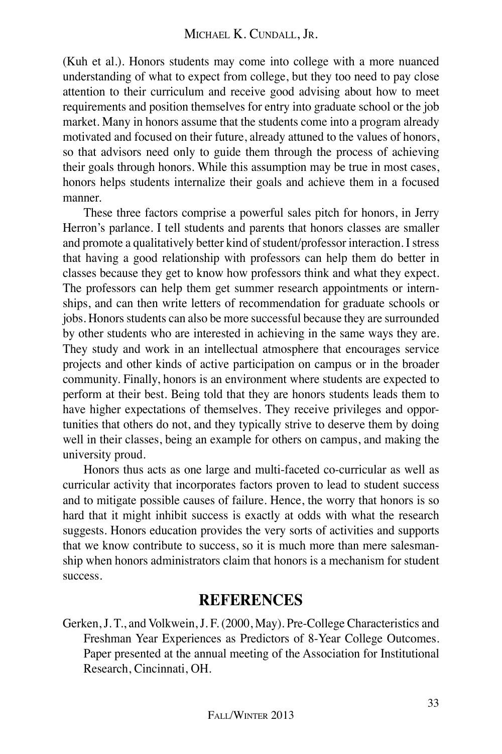#### Michael K. Cundall, Jr.

(Kuh et al.). Honors students may come into college with a more nuanced understanding of what to expect from college, but they too need to pay close attention to their curriculum and receive good advising about how to meet requirements and position themselves for entry into graduate school or the job market. Many in honors assume that the students come into a program already motivated and focused on their future, already attuned to the values of honors, so that advisors need only to guide them through the process of achieving their goals through honors. While this assumption may be true in most cases, honors helps students internalize their goals and achieve them in a focused manner.

These three factors comprise a powerful sales pitch for honors, in Jerry Herron's parlance. I tell students and parents that honors classes are smaller and promote a qualitatively better kind of student/professor interaction. I stress that having a good relationship with professors can help them do better in classes because they get to know how professors think and what they expect. The professors can help them get summer research appointments or internships, and can then write letters of recommendation for graduate schools or jobs. Honors students can also be more successful because they are surrounded by other students who are interested in achieving in the same ways they are. They study and work in an intellectual atmosphere that encourages service projects and other kinds of active participation on campus or in the broader community. Finally, honors is an environment where students are expected to perform at their best. Being told that they are honors students leads them to have higher expectations of themselves. They receive privileges and opportunities that others do not, and they typically strive to deserve them by doing well in their classes, being an example for others on campus, and making the university proud.

Honors thus acts as one large and multi-faceted co-curricular as well as curricular activity that incorporates factors proven to lead to student success and to mitigate possible causes of failure. Hence, the worry that honors is so hard that it might inhibit success is exactly at odds with what the research suggests. Honors education provides the very sorts of activities and supports that we know contribute to success, so it is much more than mere salesmanship when honors administrators claim that honors is a mechanism for student success.

#### **References**

Gerken, J. T., and Volkwein, J. F. (2000, May). Pre-College Characteristics and Freshman Year Experiences as Predictors of 8-Year College Outcomes. Paper presented at the annual meeting of the Association for Institutional Research, Cincinnati, OH.